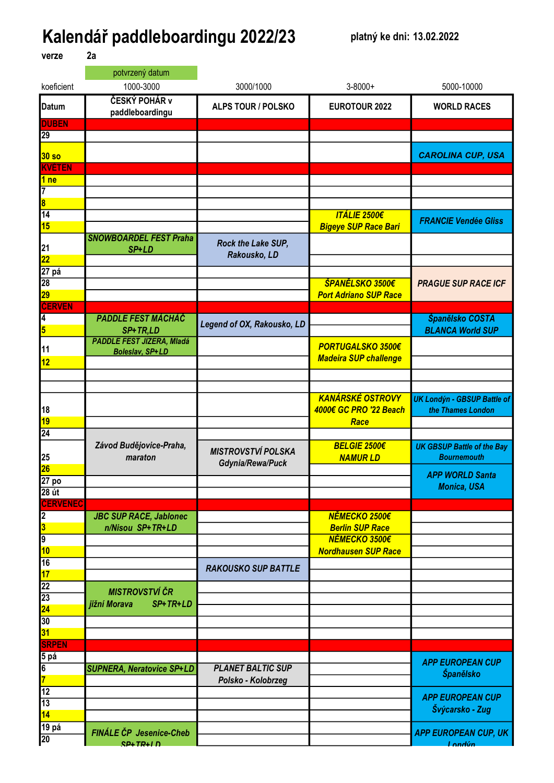## Kalendář paddleboardingu 2022/23 platný ke dni: 13.02.2022 verze 2a

|                                                                     | potvrzený datum                  |                            |                              |                                        |
|---------------------------------------------------------------------|----------------------------------|----------------------------|------------------------------|----------------------------------------|
| koeficient                                                          | 1000-3000                        | 3000/1000                  | $3 - 8000 +$                 | 5000-10000                             |
| <b>Datum</b>                                                        | ČESKÝ POHÁR v<br>paddleboardingu | <b>ALPS TOUR / POLSKO</b>  | EUROTOUR 2022                | <b>WORLD RACES</b>                     |
| <b>DUBEN</b>                                                        |                                  |                            |                              |                                        |
| 29                                                                  |                                  |                            |                              |                                        |
| 30 <sub>so</sub>                                                    |                                  |                            |                              | <b>CAROLINA CUP, USA</b>               |
| <b>KVĚTEN</b>                                                       |                                  |                            |                              |                                        |
| 1 <sub>ne</sub>                                                     |                                  |                            |                              |                                        |
| 7                                                                   |                                  |                            |                              |                                        |
| $\overline{\mathbf{8}}$                                             |                                  |                            |                              |                                        |
| $\overline{14}$                                                     |                                  |                            | <b>ITÁLIE 2500€</b>          | <b>FRANCIE Vendée Gliss</b>            |
| <b>15</b>                                                           |                                  |                            | <b>Bigeye SUP Race Bari</b>  |                                        |
|                                                                     | <b>SNOWBOARDEL FEST Praha</b>    | Rock the Lake SUP,         |                              |                                        |
| $\frac{21}{22}$                                                     | SP+LD                            | Rakousko, LD               |                              |                                        |
| 27 pá                                                               |                                  |                            |                              |                                        |
| 28                                                                  |                                  |                            | ŠPANĚLSKO 3500€              | <b>PRAGUE SUP RACE ICF</b>             |
| <b>29</b>                                                           |                                  |                            | <b>Port Adriano SUP Race</b> |                                        |
| <b>ČERVEN</b>                                                       |                                  |                            |                              |                                        |
| 4                                                                   | <b>PADDLE FEST MÁCHÁČ</b>        | Legend of OX, Rakousko, LD |                              | Španělsko COSTA                        |
| $\overline{\mathbf{5}}$                                             | SP+TR,LD                         |                            |                              | <b>BLANCA World SUP</b>                |
| 11                                                                  | <b>PADDLE FEST JIZERA, Mladá</b> |                            | <b>PORTUGALSKO 3500€</b>     |                                        |
| 12                                                                  | <b>Boleslav, SP+LD</b>           |                            | <b>Madeira SUP challenge</b> |                                        |
|                                                                     |                                  |                            |                              |                                        |
|                                                                     |                                  |                            |                              |                                        |
|                                                                     |                                  |                            | <b>KANÁRSKÉ OSTROVY</b>      | <b>UK Londýn - GBSUP Battle of</b>     |
| 18                                                                  |                                  |                            | 4000€ GC PRO '22 Beach       | the Thames London                      |
| 19                                                                  |                                  |                            | Race                         |                                        |
| $\overline{24}$                                                     |                                  |                            |                              |                                        |
|                                                                     | Závod Budějovice-Praha,          | <b>MISTROVSTVÍ POLSKA</b>  | <b>BELGIE 2500€</b>          | <b>UK GBSUP Battle of the Bay</b>      |
| 25<br>26                                                            | maraton                          | Gdynia/Rewa/Puck           | <b>NAMURLD</b>               | <b>Bournemouth</b>                     |
|                                                                     |                                  |                            |                              | <b>APP WORLD Santa</b>                 |
| 27 <sub>po</sub>                                                    |                                  |                            |                              | <b>Monica, USA</b>                     |
| $28$ út<br><b>ČERVENEC</b>                                          |                                  |                            |                              |                                        |
| $\overline{2}$                                                      | <b>JBC SUP RACE, Jablonec</b>    |                            | NĚMECKO 2500€                |                                        |
|                                                                     | n/Nisou SP+TR+LD                 |                            | <b>Berlin SUP Race</b>       |                                        |
| $\frac{3}{9}$                                                       |                                  |                            | NĚMECKO 3500€                |                                        |
| 10                                                                  |                                  |                            | <b>Nordhausen SUP Race</b>   |                                        |
| $\overline{16}$                                                     |                                  |                            |                              |                                        |
| 17                                                                  |                                  | <b>RAKOUSKO SUP BATTLE</b> |                              |                                        |
| $\begin{array}{c}\n 22 \\ \hline\n 23 \\ \hline\n 30\n \end{array}$ | <b>MISTROVSTVÍ ČR</b>            |                            |                              |                                        |
|                                                                     | SP+TR+LD<br>jižní Morava         |                            |                              |                                        |
|                                                                     |                                  |                            |                              |                                        |
|                                                                     |                                  |                            |                              |                                        |
| 31<br>SRPEN                                                         |                                  |                            |                              |                                        |
|                                                                     |                                  |                            |                              |                                        |
|                                                                     | <b>SUPNERA, Neratovice SP+LD</b> | <b>PLANET BALTIC SUP</b>   |                              | <b>APP EUROPEAN CUP</b>                |
| 5 pá<br>6<br>7<br>12                                                |                                  | Polsko - Kolobrzeg         |                              | Španělsko                              |
|                                                                     |                                  |                            |                              |                                        |
| $\overline{13}$                                                     |                                  |                            |                              | <b>APP EUROPEAN CUP</b>                |
| 14                                                                  |                                  |                            |                              | Švýcarsko - Zug                        |
| 19 pá                                                               | FINÁLE ČP Jesenice-Cheb          |                            |                              |                                        |
| 20                                                                  | $SP+TR+ID$                       |                            |                              | <b>APP EUROPEAN CUP, UK</b><br>Londún. |